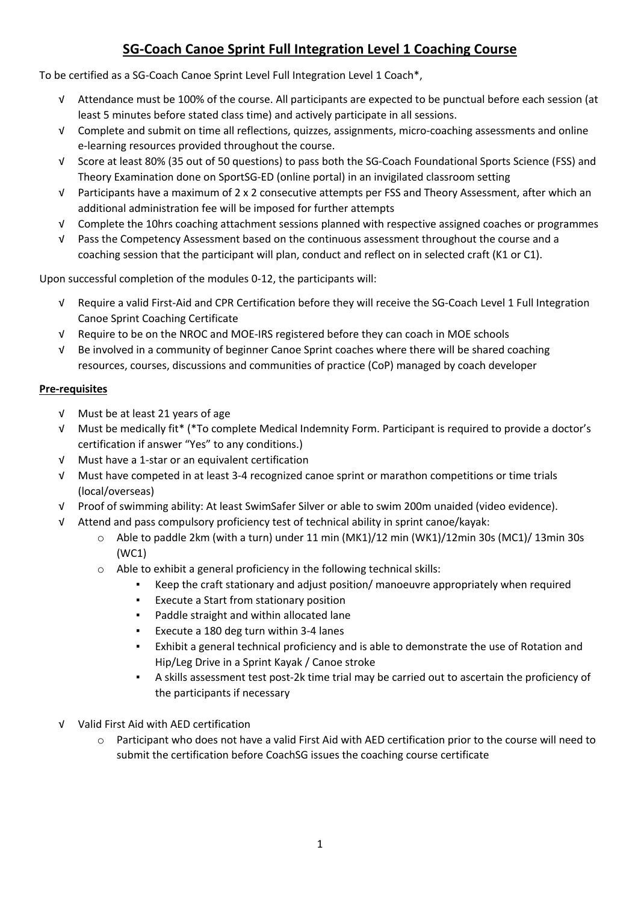# **SG-Coach Canoe Sprint Full Integration Level 1 Coaching Course**

To be certified as a SG-Coach Canoe Sprint Level Full Integration Level 1 Coach\*,

- √ Attendance must be 100% of the course. All participants are expected to be punctual before each session (at least 5 minutes before stated class time) and actively participate in all sessions.
- √ Complete and submit on time all reflections, quizzes, assignments, micro-coaching assessments and online e-learning resources provided throughout the course.
- √ Score at least 80% (35 out of 50 questions) to pass both the SG-Coach Foundational Sports Science (FSS) and Theory Examination done on SportSG-ED (online portal) in an invigilated classroom setting
- √ Participants have a maximum of 2 x 2 consecutive attempts per FSS and Theory Assessment, after which an additional administration fee will be imposed for further attempts
- √ Complete the 10hrs coaching attachment sessions planned with respective assigned coaches or programmes
- √ Pass the Competency Assessment based on the continuous assessment throughout the course and a coaching session that the participant will plan, conduct and reflect on in selected craft (K1 or C1).

Upon successful completion of the modules 0-12, the participants will:

- √ Require a valid First-Aid and CPR Certification before they will receive the SG-Coach Level 1 Full Integration Canoe Sprint Coaching Certificate
- √ Require to be on the NROC and MOE-IRS registered before they can coach in MOE schools
- √ Be involved in a community of beginner Canoe Sprint coaches where there will be shared coaching resources, courses, discussions and communities of practice (CoP) managed by coach developer

## **Pre-requisites**

- √ Must be at least 21 years of age
- √ Must be medically fit\* (\*To complete Medical Indemnity Form. Participant is required to provide a doctor's certification if answer "Yes" to any conditions.)
- √ Must have a 1-star or an equivalent certification
- √ Must have competed in at least 3-4 recognized canoe sprint or marathon competitions or time trials (local/overseas)
- √ Proof of swimming ability: At least SwimSafer Silver or able to swim 200m unaided (video evidence).
- √ Attend and pass compulsory proficiency test of technical ability in sprint canoe/kayak:
	- $\circ$  Able to paddle 2km (with a turn) under 11 min (MK1)/12 min (WK1)/12min 30s (MC1)/ 13min 30s (WC1)
	- o Able to exhibit a general proficiency in the following technical skills:
		- Keep the craft stationary and adjust position/ manoeuvre appropriately when required
		- Execute a Start from stationary position
		- Paddle straight and within allocated lane
		- Execute a 180 deg turn within 3-4 lanes
		- Exhibit a general technical proficiency and is able to demonstrate the use of Rotation and Hip/Leg Drive in a Sprint Kayak / Canoe stroke
		- A skills assessment test post-2k time trial may be carried out to ascertain the proficiency of the participants if necessary
- √ Valid First Aid with AED certification
	- o Participant who does not have a valid First Aid with AED certification prior to the course will need to submit the certification before CoachSG issues the coaching course certificate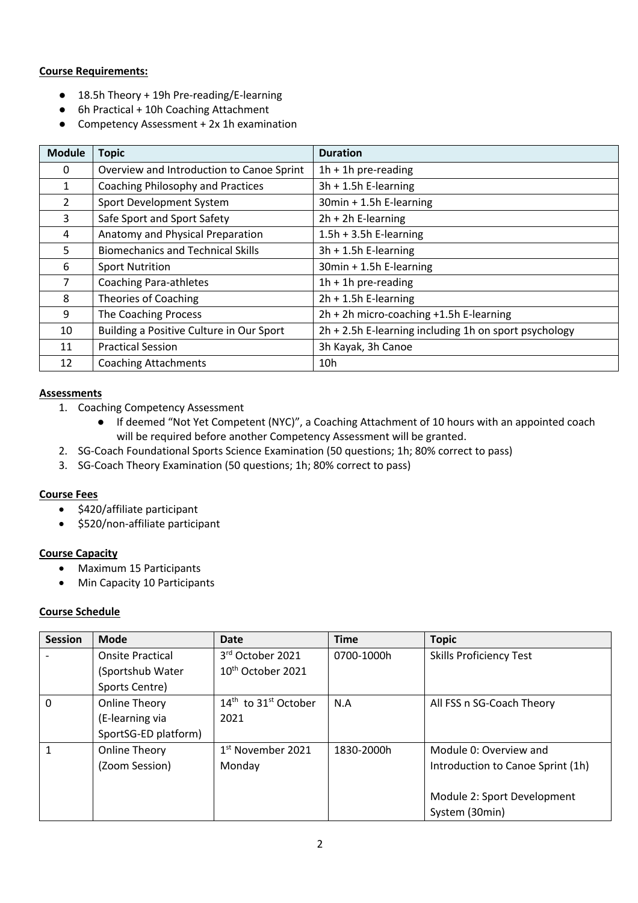## **Course Requirements:**

- 18.5h Theory + 19h Pre-reading/E-learning
- 6h Practical + 10h Coaching Attachment
- Competency Assessment + 2x 1h examination

| <b>Module</b> | <b>Topic</b>                              | <b>Duration</b>                                       |
|---------------|-------------------------------------------|-------------------------------------------------------|
| 0             | Overview and Introduction to Canoe Sprint | $1h + 1h$ pre-reading                                 |
| 1             | <b>Coaching Philosophy and Practices</b>  | $3h + 1.5h$ E-learning                                |
| $\mathcal{L}$ | Sport Development System                  | 30min + 1.5h E-learning                               |
| 3             | Safe Sport and Sport Safety               | $2h + 2h$ E-learning                                  |
| 4             | Anatomy and Physical Preparation          | $1.5h + 3.5h$ E-learning                              |
| 5             | <b>Biomechanics and Technical Skills</b>  | $3h + 1.5h$ E-learning                                |
| 6             | <b>Sport Nutrition</b>                    | 30min + 1.5h E-learning                               |
| 7             | <b>Coaching Para-athletes</b>             | $1h + 1h$ pre-reading                                 |
| 8             | Theories of Coaching                      | $2h + 1.5h$ E-learning                                |
| 9             | The Coaching Process                      | 2h + 2h micro-coaching +1.5h E-learning               |
| 10            | Building a Positive Culture in Our Sport  | 2h + 2.5h E-learning including 1h on sport psychology |
| 11            | <b>Practical Session</b>                  | 3h Kayak, 3h Canoe                                    |
| 12            | <b>Coaching Attachments</b>               | 10 <sub>h</sub>                                       |

#### **Assessments**

- 1. Coaching Competency Assessment
	- If deemed "Not Yet Competent (NYC)", a Coaching Attachment of 10 hours with an appointed coach will be required before another Competency Assessment will be granted.
- 2. SG-Coach Foundational Sports Science Examination (50 questions; 1h; 80% correct to pass)
- 3. SG-Coach Theory Examination (50 questions; 1h; 80% correct to pass)

## **Course Fees**

- \$420/affiliate participant
- \$520/non-affiliate participant

## **Course Capacity**

- Maximum 15 Participants
- Min Capacity 10 Participants

#### **Course Schedule**

| <b>Session</b> | Mode                    | Date                         | <b>Time</b> | <b>Topic</b>                      |
|----------------|-------------------------|------------------------------|-------------|-----------------------------------|
|                | <b>Onsite Practical</b> | 3 <sup>rd</sup> October 2021 | 0700-1000h  | <b>Skills Proficiency Test</b>    |
|                | (Sportshub Water        | $10^{th}$ October 2021       |             |                                   |
|                | Sports Centre)          |                              |             |                                   |
| $\Omega$       | <b>Online Theory</b>    | $14th$ to $31st$ October     | N.A         | All FSS n SG-Coach Theory         |
|                | (E-learning via         | 2021                         |             |                                   |
|                | SportSG-ED platform)    |                              |             |                                   |
|                | Online Theory           | $1st$ November 2021          | 1830-2000h  | Module 0: Overview and            |
|                | (Zoom Session)          | Monday                       |             | Introduction to Canoe Sprint (1h) |
|                |                         |                              |             |                                   |
|                |                         |                              |             | Module 2: Sport Development       |
|                |                         |                              |             | System (30min)                    |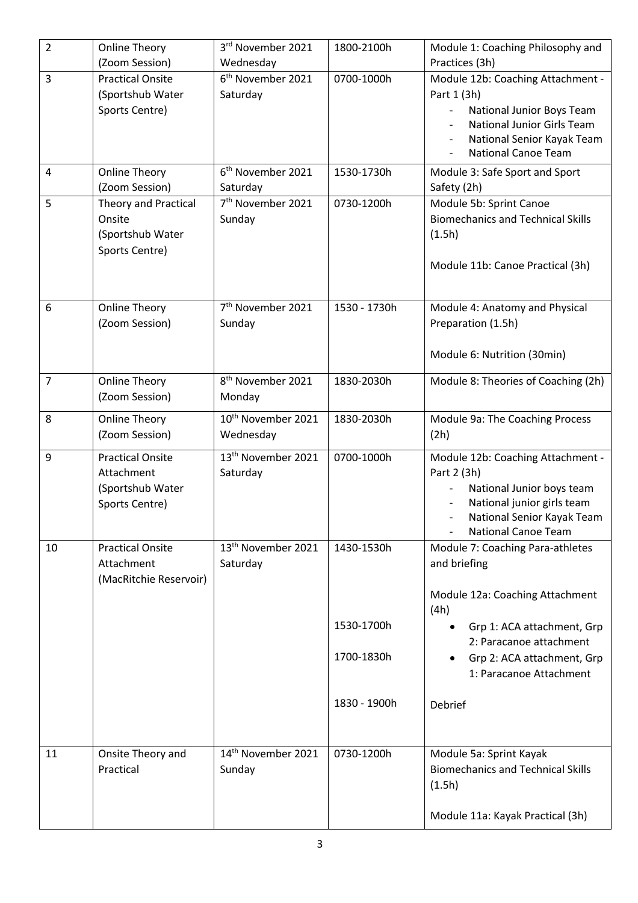| $\overline{2}$ | <b>Online Theory</b>    | 3rd November 2021              | 1800-2100h   | Module 1: Coaching Philosophy and                |
|----------------|-------------------------|--------------------------------|--------------|--------------------------------------------------|
|                | (Zoom Session)          | Wednesday                      |              | Practices (3h)                                   |
| 3              | <b>Practical Onsite</b> | 6 <sup>th</sup> November 2021  | 0700-1000h   | Module 12b: Coaching Attachment -                |
|                | (Sportshub Water        | Saturday                       |              | Part 1 (3h)                                      |
|                | Sports Centre)          |                                |              | National Junior Boys Team                        |
|                |                         |                                |              | <b>National Junior Girls Team</b>                |
|                |                         |                                |              | National Senior Kayak Team                       |
|                |                         |                                |              | <b>National Canoe Team</b>                       |
| 4              | <b>Online Theory</b>    | 6 <sup>th</sup> November 2021  | 1530-1730h   | Module 3: Safe Sport and Sport                   |
|                | (Zoom Session)          | Saturday                       |              | Safety (2h)                                      |
| 5              | Theory and Practical    | 7 <sup>th</sup> November 2021  | 0730-1200h   | Module 5b: Sprint Canoe                          |
|                | Onsite                  | Sunday                         |              | <b>Biomechanics and Technical Skills</b>         |
|                | (Sportshub Water        |                                |              | (1.5h)                                           |
|                | Sports Centre)          |                                |              |                                                  |
|                |                         |                                |              | Module 11b: Canoe Practical (3h)                 |
|                |                         |                                |              |                                                  |
| 6              | <b>Online Theory</b>    | 7 <sup>th</sup> November 2021  | 1530 - 1730h | Module 4: Anatomy and Physical                   |
|                | (Zoom Session)          | Sunday                         |              | Preparation (1.5h)                               |
|                |                         |                                |              |                                                  |
|                |                         |                                |              | Module 6: Nutrition (30min)                      |
|                |                         |                                |              |                                                  |
| $\overline{7}$ | <b>Online Theory</b>    | 8 <sup>th</sup> November 2021  | 1830-2030h   | Module 8: Theories of Coaching (2h)              |
|                | (Zoom Session)          | Monday                         |              |                                                  |
| 8              | <b>Online Theory</b>    | 10 <sup>th</sup> November 2021 | 1830-2030h   | Module 9a: The Coaching Process                  |
|                | (Zoom Session)          | Wednesday                      |              | (2h)                                             |
| 9              | <b>Practical Onsite</b> | 13 <sup>th</sup> November 2021 | 0700-1000h   |                                                  |
|                | Attachment              | Saturday                       |              | Module 12b: Coaching Attachment -<br>Part 2 (3h) |
|                | (Sportshub Water        |                                |              | National Junior boys team                        |
|                | Sports Centre)          |                                |              | National junior girls team                       |
|                |                         |                                |              | National Senior Kayak Team                       |
|                |                         |                                |              | <b>National Canoe Team</b>                       |
| 10             | <b>Practical Onsite</b> | 13 <sup>th</sup> November 2021 | 1430-1530h   | Module 7: Coaching Para-athletes                 |
|                | Attachment              | Saturday                       |              | and briefing                                     |
|                | (MacRitchie Reservoir)  |                                |              |                                                  |
|                |                         |                                |              | Module 12a: Coaching Attachment                  |
|                |                         |                                |              | (4h)                                             |
|                |                         |                                | 1530-1700h   | Grp 1: ACA attachment, Grp<br>$\bullet$          |
|                |                         |                                |              | 2: Paracanoe attachment                          |
|                |                         |                                | 1700-1830h   | Grp 2: ACA attachment, Grp                       |
|                |                         |                                |              | 1: Paracanoe Attachment                          |
|                |                         |                                |              |                                                  |
|                |                         |                                | 1830 - 1900h | Debrief                                          |
|                |                         |                                |              |                                                  |
|                |                         |                                |              |                                                  |
| 11             | Onsite Theory and       | 14 <sup>th</sup> November 2021 | 0730-1200h   | Module 5a: Sprint Kayak                          |
|                | Practical               | Sunday                         |              | <b>Biomechanics and Technical Skills</b>         |
|                |                         |                                |              | (1.5h)                                           |
|                |                         |                                |              |                                                  |
|                |                         |                                |              | Module 11a: Kayak Practical (3h)                 |